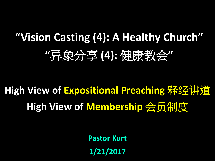# **"Vision Casting (4): A Healthy Church" "**异象分享 **(4):** 健康教会**"**

# **High View of Expositional Preaching** 释经讲道 **High View of Membership** 会员制度

**Pastor Kurt**

**1/21/2017**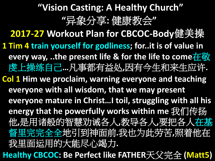## **"Vision Casting: A Healthy Church" "**异象分享**:** 健康教会**"**

**2017-27 Workout Plan for CBCOC-Body**健美操

- **1 Tim 4 train yourself for godliness; for..it is of value in every way, ..the present life & for the life to come**在敬 虔上操练自己**…**凡事都有益处**,**因有今生和来生应许**.**
- **Col 1 Him we proclaim, warning everyone and teaching everyone with all wisdom, that we may present everyone mature in Christ…I toil, struggling with all his energy that he powerfully works within me** 我们传扬 他**,**是用诸般的智慧劝诫各人**,**教导各人**,**要把各人在基 督里完完全全地引到神面前**.**我也为此劳苦**,**照着他在 我里面运用的大能尽心竭力**.**
- **Healthy CBCOC: Be Perfect like FATHER**天父完全 **(Matt5)**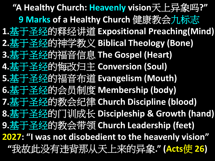**"A Healthy Church: Heavenly vision**天上异象吗**?" 9 Marks of a Healthy Church** 健康教会九标志 **1.**基于圣经的释经讲道 **Expositional Preaching(Mind) 2.**基于圣经的神学教义 **Biblical Theology (Bone) 3.**基于圣经的福音信息 **The Gospel (Heart) 4.**基于圣经的悔改归主 **Conversion (Soul) 5.**基于圣经的福音布道 **Evangelism (Mouth) 6.**基于圣经的会员制度 **Membership (body) 7.**基于圣经的教会纪律 **Church Discipline (blood) 8.**基于圣经的门训成长 **Discipleship & Growth (hand) 9.**基于圣经的教会带领 **Church Leadership (feet) 2027: "I was not disobedient to the heavenly vision" "**我故此没有违背那从天上来的异象**." (Acts**使 **26)**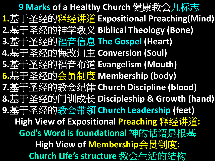**9 Marks of a Healthy Church** 健康教会九标志 **1.**基于圣经的释经讲道 **Expositional Preaching(Mind) 2.**基于圣经的神学教义 **Biblical Theology (Bone) 3.**基于圣经的福音信息 **The Gospel (Heart) 4.**基于圣经的悔改归主 **Conversion (Soul) 5.**基于圣经的福音布道 **Evangelism (Mouth) 6.**基于圣经的会员制度 **Membership (body) 7.**基于圣经的教会纪律 **Church Discipline (blood) 8.**基于圣经的门训成长 **Discipleship & Growth (hand) 9.**基于圣经的教会带领 **Church Leadership (feet) High View of Expositional Preaching** 释经讲道**: God's Word is foundational** 神的话语是根基 **High View of Membership**会员制度**: Church Life's structure** 教会生活的结构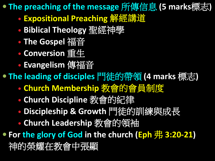**The preaching of the message** 所傳信息 **(5 marks**標志**)**

- **Expositional Preaching** 解經講道
- **Biblical Theology** 聖經神學
- **The Gospel** 福音
- **Conversion** 重生
- **Evangelism** 傳福音

**The leading of disciples** 門徒的帶領 **(4 marks** 標志**)**

- **Church Membership** 教會的會員制度
- **Church Discipline** 教會的紀律
- **Discipleship & Growth** 門徒的訓練與成長
- **Church Leadership** 教會的領袖

● For the glory of God in the church (Eph 弗 3:20-21) 神的榮耀在教會中張顯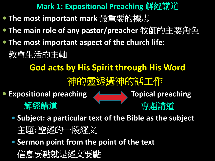- **The most important mark** 最重要的標志
- **The main role of any pastor/preacher** 牧師的主要角色
- **The most important aspect of the church life:**
	- 教會生活的主軸

**God acts by His Spirit through His Word**

神的靈透過神的話工作

**Expositional preaching ALLETTING Topical preaching** 

解經講道

- **Subject: a particular text of the Bible as the subject**
	- 主題**:** 聖經的一段經文
- **Sermon point from the point of the text**

信息要點就是經文要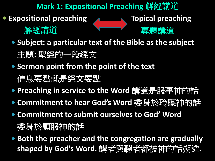**Expositional preaching ALLET Topical preaching** 

解經講道

- **Subject: a particular text of the Bible as the subject** 
	- 主題**:** 聖經的一段經文
- **Sermon point from the point of the text** 信息要點就是經文要點
- **Preaching in service to the Word** 講道是服事神的話
- **Commitment to hear God's Word** 委身於聆聽神的話
- **Commitment to submit ourselves to God' Word**

委身於順服神的話

 **Both the preacher and the congregation are gradually shaped by God's Word.** 講者與聽者都被神的話朔造**.**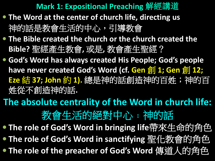- **The Word at the center of church life, directing us** 神的話是教會生活的中心,引導教會
- **The Bible created the church or the church created the Bible?** 聖經產生教會**,** 或是**,** 教會產生聖經?
- **God's Word has always created His People; God's people have never created God's Word (cf. Gen 創 1; Gen 創 12; Eze** 結 **37; John** 約 **1).** 總是神的話創造神的百姓;神的百 姓從不創造神的話**.**

**The absolute centrality of the Word in church life:** 教會生活的絕對中心**﹕**神的話

● The role of God's Word in bringing life帶來生命的角色

**The role of God's Word in sanctifying** 聖化教會的角色

**The role of the preacher of God's Word** 傳道人的角色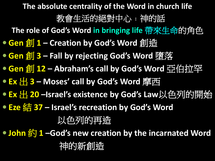**The absolute centrality of the Word in church life**

教會生活的絕對中心**﹕**神的話

**The role of God's Word in bringing life** 帶來生命的角色

**Gen** 創 **1 – Creation by God's Word** 創造

- **Gen** 創 **3 – Fall by rejecting God's Word** 墮落
- **Gen** 創 **12 – Abraham's call by God's Word** 亞伯拉罕
- **Ex** 出 **3 – Moses' call by God's Word** 摩西
- **Ex** 出 **20 –Israel's existence by God's Law**以色列的開始
- **Eze** 結 **37 – Israel's recreation by God's Word**

以色列的再造

**John** 約 **1 –God's new creation by the incarnated Word**

### 神的新創造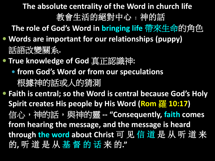**The absolute centrality of the Word in church life** 教會生活的絕對中心**﹕**神的話

**The role of God's Word in bringing life** 帶來生命的角色

- **Words are important for our relationships (puppy)** 話語改變關系**.**
- **True knowledge of God** 真正認識神**:**
	- **from God's Word or from our speculations** 根據神的話或人的猜測
- **Faith is central; so the Word is central because God's Holy Spirit creates His people by His Word (Rom** 羅 **10:17)** 信心, 精的話, 與神的靈 -- "Consequently, faith comes **from hearing the message, and the message is heard through the word about Christ** 可 见 信 道 是 从 听 道 来 的**,** 听 道 是 从 基 督 的 话 来 的**."**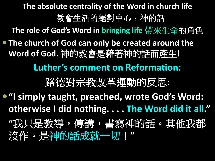**The absolute centrality of the Word in church life** 教會生活的絕對中心**﹕**神的話 **The role of God's Word in bringing life** 帶來生命的角色 **The church of God can only be created around the Word of God.** 神的教會是藉著神的話而產生**! Luther's comment on Reformation:** 路德對宗教改革運動的反思**:**

**"I simply taught, preached, wrote God's Word: otherwise I did nothing. . . . The Word did it all."**

**"**我只是教導,傳講,書寫神的話。其他我都 沒作。是神的話成就一切!**"**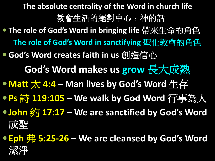- **The absolute centrality of the Word in church life** 教會生活的絕對中心**﹕**神的話 **The role of God's Word in bringing life** 帶來生命的角色 **The role of God's Word in sanctifying** 聖化教會的角色
- **God's Word creates faith in us** 創造信心

**God's Word makes us grow** 長大成熟

- **Matt** 太 **4:4 – Man lives by God's Word** 生存
- **Ps** 詩 **119:105 – We walk by God Word** 行事為人
- **John** 約 **17:17 – We are sanctified by God's Word**  成聖
- **Eph 弗 5:25-26 We are cleansed by God's Word** 潔淨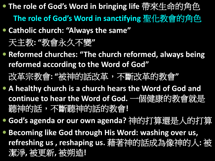**The role of God's Word in bringing life** 帶來生命的角色 **The role of God's Word in sanctifying** 聖化教會的角色

### **Catholic church: "Always the same"**

天主教**: "**教會永久不變**"**

- **Reformed churches: "The church reformed, always being reformed according to the Word of God"** 改革宗教會**: "**被神的話改革,不斷改革的教會**"**
- **A healthy church is a church hears the Word of God and continue to hear the Word of God.** 一個健康的教會就是 聽神的話,不斷聽神的話的教會**!**
- **God's agenda or our own agenda?** 神的打算還是人的打算
- **Becoming like God through His Word: washing over us, refreshing us , reshaping us.** 藉著神的話成為像神的人**:** 被 潔淨**,** 被更新**,** 被朔造**!**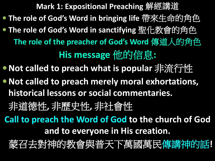- **The role of God's Word in bringing life** 帶來生命的角色
- **The role of God's Word in sanctifying** 聖化教會的角色 **The role of the preacher of God's Word** 傳道人的角色 **His message** 他的信息**:**
- **Not called to preach what is popular** 非流行性
- **Not called to preach merely moral exhortations, historical lessons or social commentaries.**
	- 非道德性**,** 非歷史性**,** 非社會性
- **Call to preach the Word of God to the church of God and to everyone in His creation.**
	- 蒙召去對神的教會與普天下萬國萬民傳講神的話**!**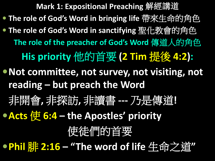**Mark 1: Expositional Preaching** 解經講道 **The role of God's Word in bringing life** 帶來生命的角色 **The role of God's Word in sanctifying** 聖化教會的角色 **The role of the preacher of God's Word** 傳道人的角色 **His priority** 他的首要 **(2 Tim** 提後 **4:2): Not committee, not survey, not visiting, not reading – but preach the Word** 非開會**,** 非探訪**,** 非讀書 **---** 乃是傳道**! Acts** 使 **6:4 – the Apostles' priority** 使徒們的首要 **Phil** 腓 **2:16 – "The word of life** 生命之道**"**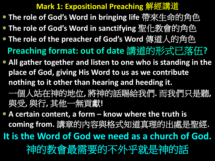- **The role of God's Word in bringing life** 帶來生命的角色
- **The role of God's Word in sanctifying** 聖化教會的角色
- **The role of the preacher of God's Word** 傳道人的角色 **Preaching format: out of date** 講道的形式已落伍**?**
- **All gather together and listen to one who is standing in the place of God, giving His Word to us as we contribute nothing to it other than hearing and heeding it.** 一個人站在神的地位**,** 將神的話賜給我們**.** 而我們只是聽**,**  與受**,** 與行**,** 其他一無貢獻**!**
- **A certain content, a form – know where the truth is coming from.** 講章的內容與格式知道真理的出處是聖經**.**

**It is the Word of God we need as a church of God.**

神的教會最需要的不外乎就是神的話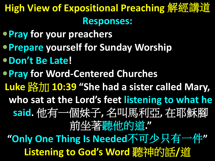## High View of Expositional Preaching 解經講道 **Responses:**

- **Pray for your preachers**
- **Prepare yourself for Sunday Worship**
- **Don't Be Late!**
- **Pray for Word-Centered Churches**
- Luke  $\frac{1}{2}$  **10:39** "She had a sister called Mary,
- **who sat at the Lord's feet listening to what he** 
	- **said.** 他有一個妹子**,** 名叫馬利亞**,** 在耶穌腳 前坐著聽他的道**."**

**"Only One Thing Is Needed**不可少只有一件**"** Listening to God's Word **聽神的話/道**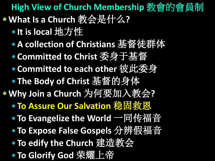**High View of Church Membership** 教會的會員制 **What Is a Church** 教会是什么**?**

- **It is local** 地方性
- **A collection of Christians** 基督徒群体
- **Committed to Christ** 委身于基督
- **Committed to each other** 彼此委身
- **The Body of Christ** 基督的身体
- **Why Join a Church** 为何要加入教会**?**
	- **To Assure Our Salvation** 稳固救恩
	- **To Evangelize the World** 一同传福音
	- **To Expose False Gospels** 分辨假福音
	- **To edify the Church** 建造教会
	- **To Glorify God** 荣耀上帝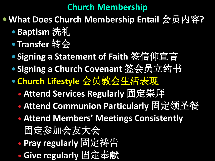### **Church Membership**

- **What Does Church Membership Entail** 会员内容**?**
	- **Baptism** 洗礼
	- **Transfer** 转会
	- **Signing a Statement of Faith** 签信仰宣言
	- **Signing a Church Covenant** 签会员立约书
	- **Church Lifestyle** 会员教会生活表现
		- **Attend Services Regularly** 固定崇拜
		- **Attend Communion Particularly** 固定领圣餐
		- **Attend Members' Meetings Consistently**  固定参加会友大会
		- **Pray regularly** 固定祷告
		- **Give regularly** 固定奉献